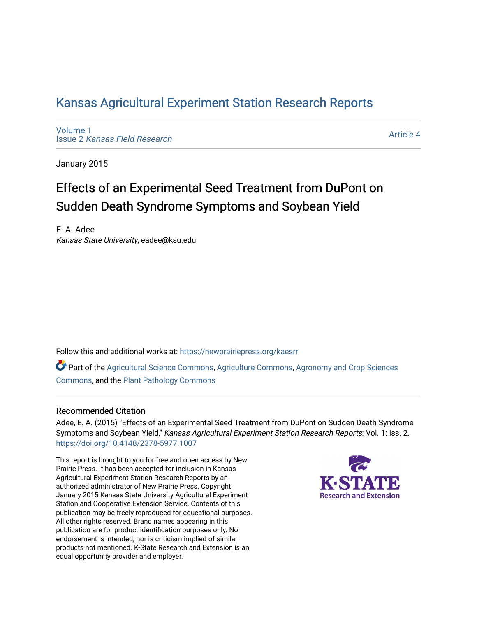## [Kansas Agricultural Experiment Station Research Reports](https://newprairiepress.org/kaesrr)

[Volume 1](https://newprairiepress.org/kaesrr/vol1) Issue 2 [Kansas Field Research](https://newprairiepress.org/kaesrr/vol1/iss2) 

[Article 4](https://newprairiepress.org/kaesrr/vol1/iss2/4) 

January 2015

# Effects of an Experimental Seed Treatment from DuPont on Sudden Death Syndrome Symptoms and Soybean Yield

E. A. Adee Kansas State University, eadee@ksu.edu

Follow this and additional works at: [https://newprairiepress.org/kaesrr](https://newprairiepress.org/kaesrr?utm_source=newprairiepress.org%2Fkaesrr%2Fvol1%2Fiss2%2F4&utm_medium=PDF&utm_campaign=PDFCoverPages) 

Part of the [Agricultural Science Commons](http://network.bepress.com/hgg/discipline/1063?utm_source=newprairiepress.org%2Fkaesrr%2Fvol1%2Fiss2%2F4&utm_medium=PDF&utm_campaign=PDFCoverPages), [Agriculture Commons,](http://network.bepress.com/hgg/discipline/1076?utm_source=newprairiepress.org%2Fkaesrr%2Fvol1%2Fiss2%2F4&utm_medium=PDF&utm_campaign=PDFCoverPages) [Agronomy and Crop Sciences](http://network.bepress.com/hgg/discipline/103?utm_source=newprairiepress.org%2Fkaesrr%2Fvol1%2Fiss2%2F4&utm_medium=PDF&utm_campaign=PDFCoverPages) [Commons](http://network.bepress.com/hgg/discipline/103?utm_source=newprairiepress.org%2Fkaesrr%2Fvol1%2Fiss2%2F4&utm_medium=PDF&utm_campaign=PDFCoverPages), and the [Plant Pathology Commons](http://network.bepress.com/hgg/discipline/107?utm_source=newprairiepress.org%2Fkaesrr%2Fvol1%2Fiss2%2F4&utm_medium=PDF&utm_campaign=PDFCoverPages) 

### Recommended Citation

Adee, E. A. (2015) "Effects of an Experimental Seed Treatment from DuPont on Sudden Death Syndrome Symptoms and Soybean Yield," Kansas Agricultural Experiment Station Research Reports: Vol. 1: Iss. 2. <https://doi.org/10.4148/2378-5977.1007>

This report is brought to you for free and open access by New Prairie Press. It has been accepted for inclusion in Kansas Agricultural Experiment Station Research Reports by an authorized administrator of New Prairie Press. Copyright January 2015 Kansas State University Agricultural Experiment Station and Cooperative Extension Service. Contents of this publication may be freely reproduced for educational purposes. All other rights reserved. Brand names appearing in this publication are for product identification purposes only. No endorsement is intended, nor is criticism implied of similar products not mentioned. K-State Research and Extension is an equal opportunity provider and employer.

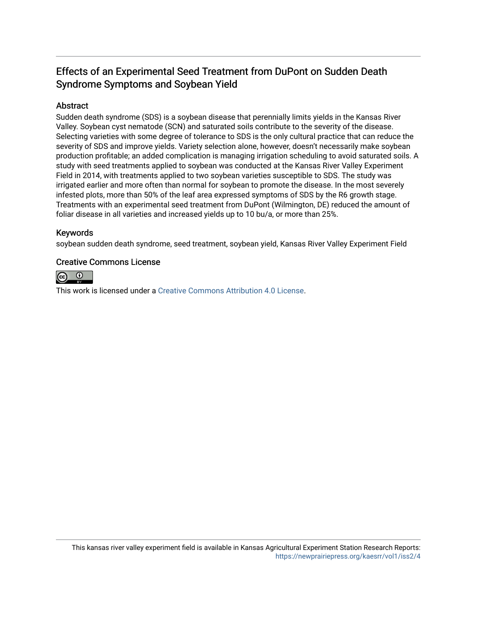## Effects of an Experimental Seed Treatment from DuPont on Sudden Death Syndrome Symptoms and Soybean Yield

### Abstract

Sudden death syndrome (SDS) is a soybean disease that perennially limits yields in the Kansas River Valley. Soybean cyst nematode (SCN) and saturated soils contribute to the severity of the disease. Selecting varieties with some degree of tolerance to SDS is the only cultural practice that can reduce the severity of SDS and improve yields. Variety selection alone, however, doesn't necessarily make soybean production profitable; an added complication is managing irrigation scheduling to avoid saturated soils. A study with seed treatments applied to soybean was conducted at the Kansas River Valley Experiment Field in 2014, with treatments applied to two soybean varieties susceptible to SDS. The study was irrigated earlier and more often than normal for soybean to promote the disease. In the most severely infested plots, more than 50% of the leaf area expressed symptoms of SDS by the R6 growth stage. Treatments with an experimental seed treatment from DuPont (Wilmington, DE) reduced the amount of foliar disease in all varieties and increased yields up to 10 bu/a, or more than 25%.

### Keywords

soybean sudden death syndrome, seed treatment, soybean yield, Kansas River Valley Experiment Field

### Creative Commons License



This work is licensed under a [Creative Commons Attribution 4.0 License](https://creativecommons.org/licenses/by/4.0/).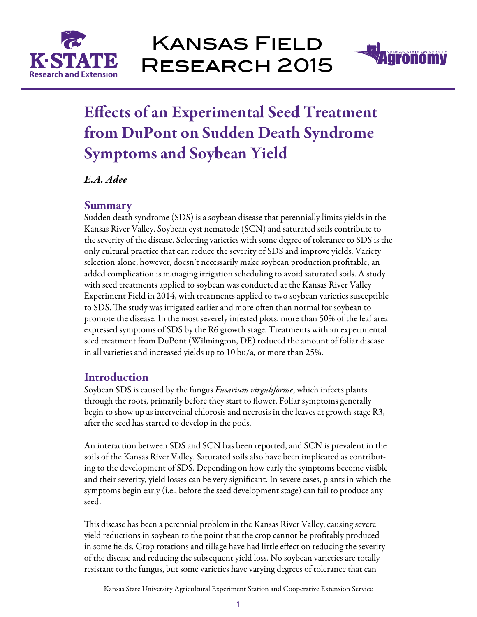



# Effects of an Experimental Seed Treatment from DuPont on Sudden Death Syndrome Symptoms and Soybean Yield

*E.A. Adee* 

## Summary

Sudden death syndrome (SDS) is a soybean disease that perennially limits yields in the Kansas River Valley. Soybean cyst nematode (SCN) and saturated soils contribute to the severity of the disease. Selecting varieties with some degree of tolerance to SDS is the only cultural practice that can reduce the severity of SDS and improve yields. Variety selection alone, however, doesn't necessarily make soybean production profitable; an added complication is managing irrigation scheduling to avoid saturated soils. A study with seed treatments applied to soybean was conducted at the Kansas River Valley Experiment Field in 2014, with treatments applied to two soybean varieties susceptible to SDS. The study was irrigated earlier and more often than normal for soybean to promote the disease. In the most severely infested plots, more than 50% of the leaf area expressed symptoms of SDS by the R6 growth stage. Treatments with an experimental seed treatment from DuPont (Wilmington, DE) reduced the amount of foliar disease in all varieties and increased yields up to 10 bu/a, or more than 25%.

## **Introduction**

Soybean SDS is caused by the fungus *Fusarium virguliforme*, which infects plants through the roots, primarily before they start to flower. Foliar symptoms generally begin to show up as interveinal chlorosis and necrosis in the leaves at growth stage R3, after the seed has started to develop in the pods.

An interaction between SDS and SCN has been reported, and SCN is prevalent in the soils of the Kansas River Valley. Saturated soils also have been implicated as contributing to the development of SDS. Depending on how early the symptoms become visible and their severity, yield losses can be very significant. In severe cases, plants in which the symptoms begin early (i.e., before the seed development stage) can fail to produce any seed.

This disease has been a perennial problem in the Kansas River Valley, causing severe yield reductions in soybean to the point that the crop cannot be profitably produced in some fields. Crop rotations and tillage have had little effect on reducing the severity of the disease and reducing the subsequent yield loss. No soybean varieties are totally resistant to the fungus, but some varieties have varying degrees of tolerance that can

Kansas State University Agricultural Experiment Station and Cooperative Extension Service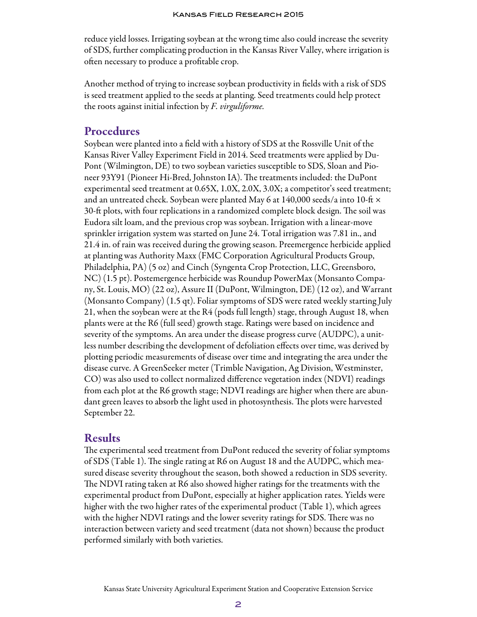reduce yield losses. Irrigating soybean at the wrong time also could increase the severity of SDS, further complicating production in the Kansas River Valley, where irrigation is often necessary to produce a profitable crop.

Another method of trying to increase soybean productivity in fields with a risk of SDS is seed treatment applied to the seeds at planting. Seed treatments could help protect the roots against initial infection by *F. virguliforme.* 

## **Procedures**

Soybean were planted into a field with a history of SDS at the Rossville Unit of the Kansas River Valley Experiment Field in 2014. Seed treatments were applied by Du-Pont (Wilmington, DE) to two soybean varieties susceptible to SDS, Sloan and Pioneer 93Y91 (Pioneer Hi-Bred, Johnston IA). The treatments included: the DuPont experimental seed treatment at 0.65X, 1.0X, 2.0X, 3.0X; a competitor's seed treatment; and an untreated check. Soybean were planted May 6 at 140,000 seeds/a into 10-ft  $\times$ 30-ft plots, with four replications in a randomized complete block design. The soil was Eudora silt loam, and the previous crop was soybean. Irrigation with a linear-move sprinkler irrigation system was started on June 24. Total irrigation was 7.81 in., and 21.4 in. of rain was received during the growing season. Preemergence herbicide applied at planting was Authority Maxx (FMC Corporation Agricultural Products Group, Philadelphia, PA) (5 oz) and Cinch (Syngenta Crop Protection, LLC, Greensboro, NC) (1.5 pt). Postemergence herbicide was Roundup PowerMax (Monsanto Company, St. Louis, MO) (22 oz), Assure II (DuPont, Wilmington, DE) (12 oz), and Warrant (Monsanto Company) (1.5 qt). Foliar symptoms of SDS were rated weekly starting July 21, when the soybean were at the R4 (pods full length) stage, through August 18, when plants were at the R6 (full seed) growth stage. Ratings were based on incidence and severity of the symptoms. An area under the disease progress curve (AUDPC), a unitless number describing the development of defoliation effects over time, was derived by plotting periodic measurements of disease over time and integrating the area under the disease curve. A GreenSeeker meter (Trimble Navigation, Ag Division, Westminster, CO) was also used to collect normalized difference vegetation index (NDVI) readings from each plot at the R6 growth stage; NDVI readings are higher when there are abundant green leaves to absorb the light used in photosynthesis. The plots were harvested September 22.

## Results

The experimental seed treatment from DuPont reduced the severity of foliar symptoms of SDS (Table 1). The single rating at R6 on August 18 and the AUDPC, which measured disease severity throughout the season, both showed a reduction in SDS severity. The NDVI rating taken at R6 also showed higher ratings for the treatments with the experimental product from DuPont, especially at higher application rates. Yields were higher with the two higher rates of the experimental product (Table 1), which agrees with the higher NDVI ratings and the lower severity ratings for SDS. There was no interaction between variety and seed treatment (data not shown) because the product performed similarly with both varieties.